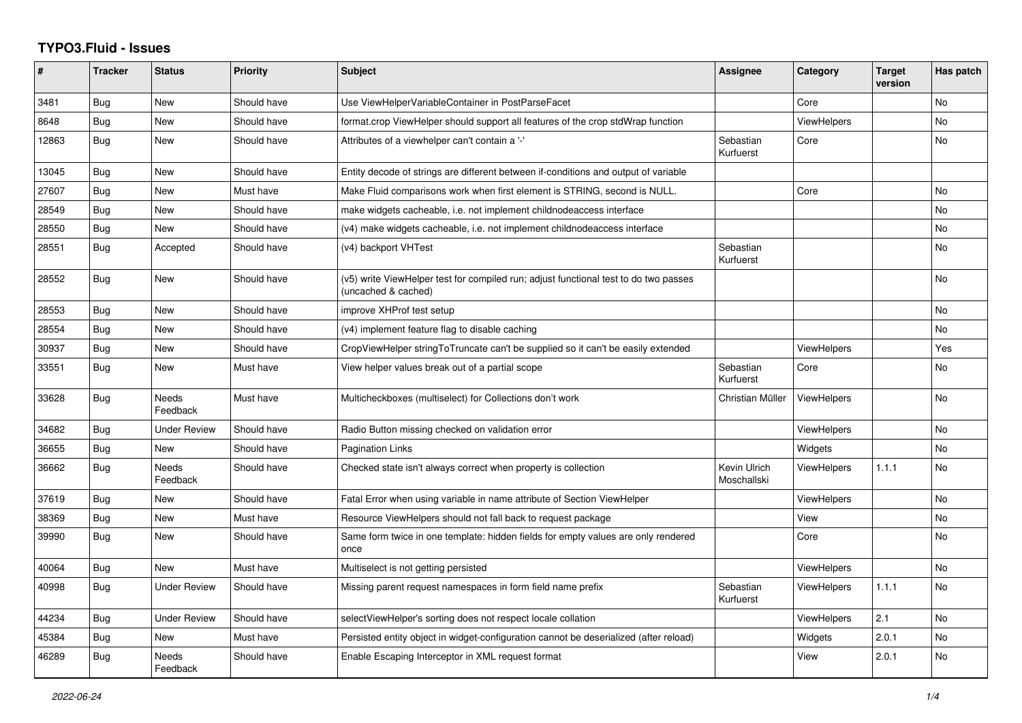## **TYPO3.Fluid - Issues**

| #     | <b>Tracker</b> | <b>Status</b>            | <b>Priority</b> | <b>Subject</b>                                                                                              | Assignee                    | Category           | <b>Target</b><br>version | Has patch |
|-------|----------------|--------------------------|-----------------|-------------------------------------------------------------------------------------------------------------|-----------------------------|--------------------|--------------------------|-----------|
| 3481  | <b>Bug</b>     | New                      | Should have     | Use ViewHelperVariableContainer in PostParseFacet                                                           |                             | Core               |                          | No        |
| 8648  | Bug            | New                      | Should have     | format.crop ViewHelper should support all features of the crop stdWrap function                             |                             | <b>ViewHelpers</b> |                          | <b>No</b> |
| 12863 | Bug            | New                      | Should have     | Attributes of a viewhelper can't contain a '-'                                                              | Sebastian<br>Kurfuerst      | Core               |                          | <b>No</b> |
| 13045 | Bug            | New                      | Should have     | Entity decode of strings are different between if-conditions and output of variable                         |                             |                    |                          |           |
| 27607 | Bug            | New                      | Must have       | Make Fluid comparisons work when first element is STRING, second is NULL.                                   |                             | Core               |                          | No        |
| 28549 | <b>Bug</b>     | New                      | Should have     | make widgets cacheable, i.e. not implement childnodeaccess interface                                        |                             |                    |                          | <b>No</b> |
| 28550 | Bug            | New                      | Should have     | (v4) make widgets cacheable, i.e. not implement childnodeaccess interface                                   |                             |                    |                          | No        |
| 28551 | Bug            | Accepted                 | Should have     | (v4) backport VHTest                                                                                        | Sebastian<br>Kurfuerst      |                    |                          | <b>No</b> |
| 28552 | <b>Bug</b>     | New                      | Should have     | (v5) write ViewHelper test for compiled run; adjust functional test to do two passes<br>(uncached & cached) |                             |                    |                          | <b>No</b> |
| 28553 | Bug            | New                      | Should have     | improve XHProf test setup                                                                                   |                             |                    |                          | <b>No</b> |
| 28554 | <b>Bug</b>     | New                      | Should have     | (v4) implement feature flag to disable caching                                                              |                             |                    |                          | No        |
| 30937 | Bug            | <b>New</b>               | Should have     | CropViewHelper stringToTruncate can't be supplied so it can't be easily extended                            |                             | <b>ViewHelpers</b> |                          | Yes       |
| 33551 | Bug            | New                      | Must have       | View helper values break out of a partial scope                                                             | Sebastian<br>Kurfuerst      | Core               |                          | No        |
| 33628 | <b>Bug</b>     | Needs<br>Feedback        | Must have       | Multicheckboxes (multiselect) for Collections don't work                                                    | Christian Müller            | <b>ViewHelpers</b> |                          | <b>No</b> |
| 34682 | Bug            | <b>Under Review</b>      | Should have     | Radio Button missing checked on validation error                                                            |                             | <b>ViewHelpers</b> |                          | <b>No</b> |
| 36655 | Bug            | <b>New</b>               | Should have     | Pagination Links                                                                                            |                             | Widgets            |                          | <b>No</b> |
| 36662 | <b>Bug</b>     | <b>Needs</b><br>Feedback | Should have     | Checked state isn't always correct when property is collection                                              | Kevin Ulrich<br>Moschallski | <b>ViewHelpers</b> | 1.1.1                    | <b>No</b> |
| 37619 | Bug            | <b>New</b>               | Should have     | Fatal Error when using variable in name attribute of Section ViewHelper                                     |                             | <b>ViewHelpers</b> |                          | <b>No</b> |
| 38369 | Bug            | <b>New</b>               | Must have       | Resource ViewHelpers should not fall back to request package                                                |                             | View               |                          | <b>No</b> |
| 39990 | Bug            | New                      | Should have     | Same form twice in one template: hidden fields for empty values are only rendered<br>once                   |                             | Core               |                          | No        |
| 40064 | Bug            | <b>New</b>               | Must have       | Multiselect is not getting persisted                                                                        |                             | <b>ViewHelpers</b> |                          | <b>No</b> |
| 40998 | Bug            | Under Review             | Should have     | Missing parent request namespaces in form field name prefix                                                 | Sebastian<br>Kurfuerst      | ViewHelpers        | 1.1.1                    | <b>No</b> |
| 44234 | Bug            | <b>Under Review</b>      | Should have     | selectViewHelper's sorting does not respect locale collation                                                |                             | <b>ViewHelpers</b> | 2.1                      | <b>No</b> |
| 45384 | <b>Bug</b>     | New                      | Must have       | Persisted entity object in widget-configuration cannot be deserialized (after reload)                       |                             | Widgets            | 2.0.1                    | No        |
| 46289 | Bug            | Needs<br>Feedback        | Should have     | Enable Escaping Interceptor in XML request format                                                           |                             | View               | 2.0.1                    | <b>No</b> |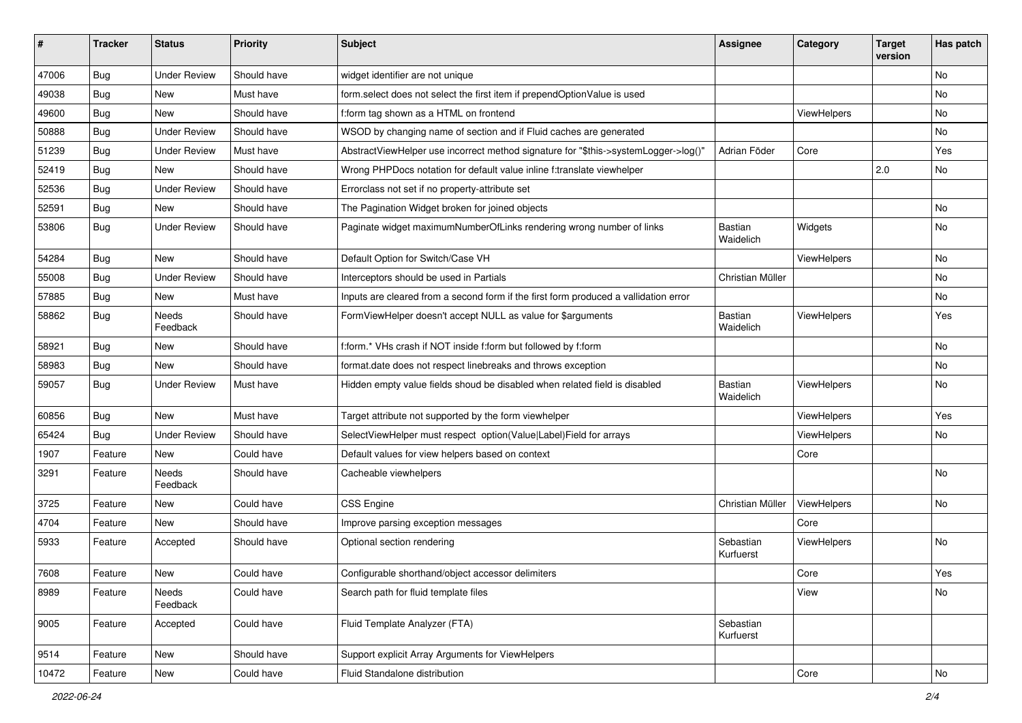| ∦     | <b>Tracker</b> | <b>Status</b>            | <b>Priority</b> | <b>Subject</b>                                                                       | <b>Assignee</b>        | Category    | <b>Target</b><br>version | Has patch |
|-------|----------------|--------------------------|-----------------|--------------------------------------------------------------------------------------|------------------------|-------------|--------------------------|-----------|
| 47006 | Bug            | <b>Under Review</b>      | Should have     | widget identifier are not unique                                                     |                        |             |                          | No        |
| 49038 | Bug            | New                      | Must have       | form.select does not select the first item if prependOptionValue is used             |                        |             |                          | No        |
| 49600 | Bug            | New                      | Should have     | f:form tag shown as a HTML on frontend                                               |                        | ViewHelpers |                          | No        |
| 50888 | Bug            | <b>Under Review</b>      | Should have     | WSOD by changing name of section and if Fluid caches are generated                   |                        |             |                          | No        |
| 51239 | <b>Bug</b>     | <b>Under Review</b>      | Must have       | AbstractViewHelper use incorrect method signature for "\$this->systemLogger->log()"  | Adrian Föder           | Core        |                          | Yes       |
| 52419 | Bug            | <b>New</b>               | Should have     | Wrong PHPDocs notation for default value inline f:translate viewhelper               |                        |             | 2.0                      | No        |
| 52536 | Bug            | <b>Under Review</b>      | Should have     | Errorclass not set if no property-attribute set                                      |                        |             |                          |           |
| 52591 | Bug            | New                      | Should have     | The Pagination Widget broken for joined objects                                      |                        |             |                          | No.       |
| 53806 | Bug            | <b>Under Review</b>      | Should have     | Paginate widget maximumNumberOfLinks rendering wrong number of links                 | Bastian<br>Waidelich   | Widgets     |                          | No        |
| 54284 | Bug            | <b>New</b>               | Should have     | Default Option for Switch/Case VH                                                    |                        | ViewHelpers |                          | No        |
| 55008 | Bug            | <b>Under Review</b>      | Should have     | Interceptors should be used in Partials                                              | Christian Müller       |             |                          | No        |
| 57885 | Bug            | New                      | Must have       | Inputs are cleared from a second form if the first form produced a vallidation error |                        |             |                          | No        |
| 58862 | Bug            | <b>Needs</b><br>Feedback | Should have     | FormViewHelper doesn't accept NULL as value for \$arguments                          | Bastian<br>Waidelich   | ViewHelpers |                          | Yes       |
| 58921 | Bug            | New                      | Should have     | f:form.* VHs crash if NOT inside f:form but followed by f:form                       |                        |             |                          | <b>No</b> |
| 58983 | Bug            | New                      | Should have     | format.date does not respect linebreaks and throws exception                         |                        |             |                          | No        |
| 59057 | <b>Bug</b>     | <b>Under Review</b>      | Must have       | Hidden empty value fields shoud be disabled when related field is disabled           | Bastian<br>Waidelich   | ViewHelpers |                          | No        |
| 60856 | Bug            | <b>New</b>               | Must have       | Target attribute not supported by the form viewhelper                                |                        | ViewHelpers |                          | Yes       |
| 65424 | Bug            | <b>Under Review</b>      | Should have     | SelectViewHelper must respect option(Value Label)Field for arrays                    |                        | ViewHelpers |                          | No        |
| 1907  | Feature        | New                      | Could have      | Default values for view helpers based on context                                     |                        | Core        |                          |           |
| 3291  | Feature        | Needs<br>Feedback        | Should have     | Cacheable viewhelpers                                                                |                        |             |                          | No        |
| 3725  | Feature        | New                      | Could have      | <b>CSS Engine</b>                                                                    | Christian Müller       | ViewHelpers |                          | No        |
| 4704  | Feature        | New                      | Should have     | Improve parsing exception messages                                                   |                        | Core        |                          |           |
| 5933  | Feature        | Accepted                 | Should have     | Optional section rendering                                                           | Sebastian<br>Kurfuerst | ViewHelpers |                          | No        |
| 7608  | Feature        | New                      | Could have      | Configurable shorthand/object accessor delimiters                                    |                        | Core        |                          | Yes       |
| 8989  | Feature        | Needs<br>Feedback        | Could have      | Search path for fluid template files                                                 |                        | View        |                          | No        |
| 9005  | Feature        | Accepted                 | Could have      | Fluid Template Analyzer (FTA)                                                        | Sebastian<br>Kurfuerst |             |                          |           |
| 9514  | Feature        | New                      | Should have     | Support explicit Array Arguments for ViewHelpers                                     |                        |             |                          |           |
| 10472 | Feature        | New                      | Could have      | Fluid Standalone distribution                                                        |                        | Core        |                          | No        |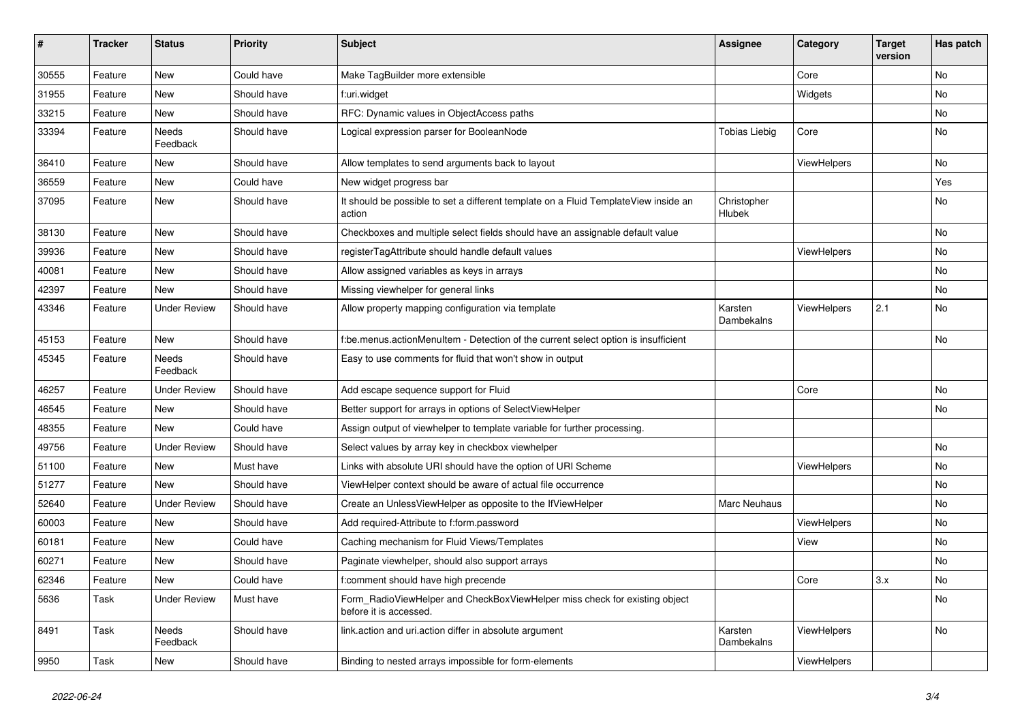| $\#$  | <b>Tracker</b> | <b>Status</b>       | <b>Priority</b> | <b>Subject</b>                                                                                       | <b>Assignee</b>       | Category    | <b>Target</b><br>version | Has patch |
|-------|----------------|---------------------|-----------------|------------------------------------------------------------------------------------------------------|-----------------------|-------------|--------------------------|-----------|
| 30555 | Feature        | New                 | Could have      | Make TagBuilder more extensible                                                                      |                       | Core        |                          | <b>No</b> |
| 31955 | Feature        | New                 | Should have     | f:uri.widget                                                                                         |                       | Widgets     |                          | No        |
| 33215 | Feature        | New                 | Should have     | RFC: Dynamic values in ObjectAccess paths                                                            |                       |             |                          | No        |
| 33394 | Feature        | Needs<br>Feedback   | Should have     | Logical expression parser for BooleanNode                                                            | <b>Tobias Liebig</b>  | Core        |                          | No        |
| 36410 | Feature        | New                 | Should have     | Allow templates to send arguments back to layout                                                     |                       | ViewHelpers |                          | No        |
| 36559 | Feature        | New                 | Could have      | New widget progress bar                                                                              |                       |             |                          | Yes       |
| 37095 | Feature        | New                 | Should have     | It should be possible to set a different template on a Fluid TemplateView inside an<br>action        | Christopher<br>Hlubek |             |                          | No        |
| 38130 | Feature        | New                 | Should have     | Checkboxes and multiple select fields should have an assignable default value                        |                       |             |                          | No        |
| 39936 | Feature        | New                 | Should have     | registerTagAttribute should handle default values                                                    |                       | ViewHelpers |                          | No        |
| 40081 | Feature        | New                 | Should have     | Allow assigned variables as keys in arrays                                                           |                       |             |                          | No        |
| 42397 | Feature        | New                 | Should have     | Missing viewhelper for general links                                                                 |                       |             |                          | No        |
| 43346 | Feature        | <b>Under Review</b> | Should have     | Allow property mapping configuration via template                                                    | Karsten<br>Dambekalns | ViewHelpers | 2.1                      | No        |
| 45153 | Feature        | New                 | Should have     | f:be.menus.actionMenuItem - Detection of the current select option is insufficient                   |                       |             |                          | No        |
| 45345 | Feature        | Needs<br>Feedback   | Should have     | Easy to use comments for fluid that won't show in output                                             |                       |             |                          |           |
| 46257 | Feature        | <b>Under Review</b> | Should have     | Add escape sequence support for Fluid                                                                |                       | Core        |                          | No        |
| 46545 | Feature        | New                 | Should have     | Better support for arrays in options of SelectViewHelper                                             |                       |             |                          | No        |
| 48355 | Feature        | New                 | Could have      | Assign output of viewhelper to template variable for further processing.                             |                       |             |                          |           |
| 49756 | Feature        | <b>Under Review</b> | Should have     | Select values by array key in checkbox viewhelper                                                    |                       |             |                          | No        |
| 51100 | Feature        | New                 | Must have       | Links with absolute URI should have the option of URI Scheme                                         |                       | ViewHelpers |                          | No        |
| 51277 | Feature        | New                 | Should have     | ViewHelper context should be aware of actual file occurrence                                         |                       |             |                          | No        |
| 52640 | Feature        | <b>Under Review</b> | Should have     | Create an UnlessViewHelper as opposite to the IfViewHelper                                           | Marc Neuhaus          |             |                          | No        |
| 60003 | Feature        | New                 | Should have     | Add required-Attribute to f:form.password                                                            |                       | ViewHelpers |                          | No        |
| 60181 | Feature        | New                 | Could have      | Caching mechanism for Fluid Views/Templates                                                          |                       | View        |                          | No        |
| 60271 | Feature        | New                 | Should have     | Paginate viewhelper, should also support arrays                                                      |                       |             |                          | No        |
| 62346 | Feature        | New                 | Could have      | f:comment should have high precende                                                                  |                       | Core        | 3.x                      | No        |
| 5636  | Task           | <b>Under Review</b> | Must have       | Form_RadioViewHelper and CheckBoxViewHelper miss check for existing object<br>before it is accessed. |                       |             |                          | No        |
| 8491  | Task           | Needs<br>Feedback   | Should have     | link.action and uri.action differ in absolute argument                                               | Karsten<br>Dambekalns | ViewHelpers |                          | No        |
| 9950  | Task           | New                 | Should have     | Binding to nested arrays impossible for form-elements                                                |                       | ViewHelpers |                          |           |